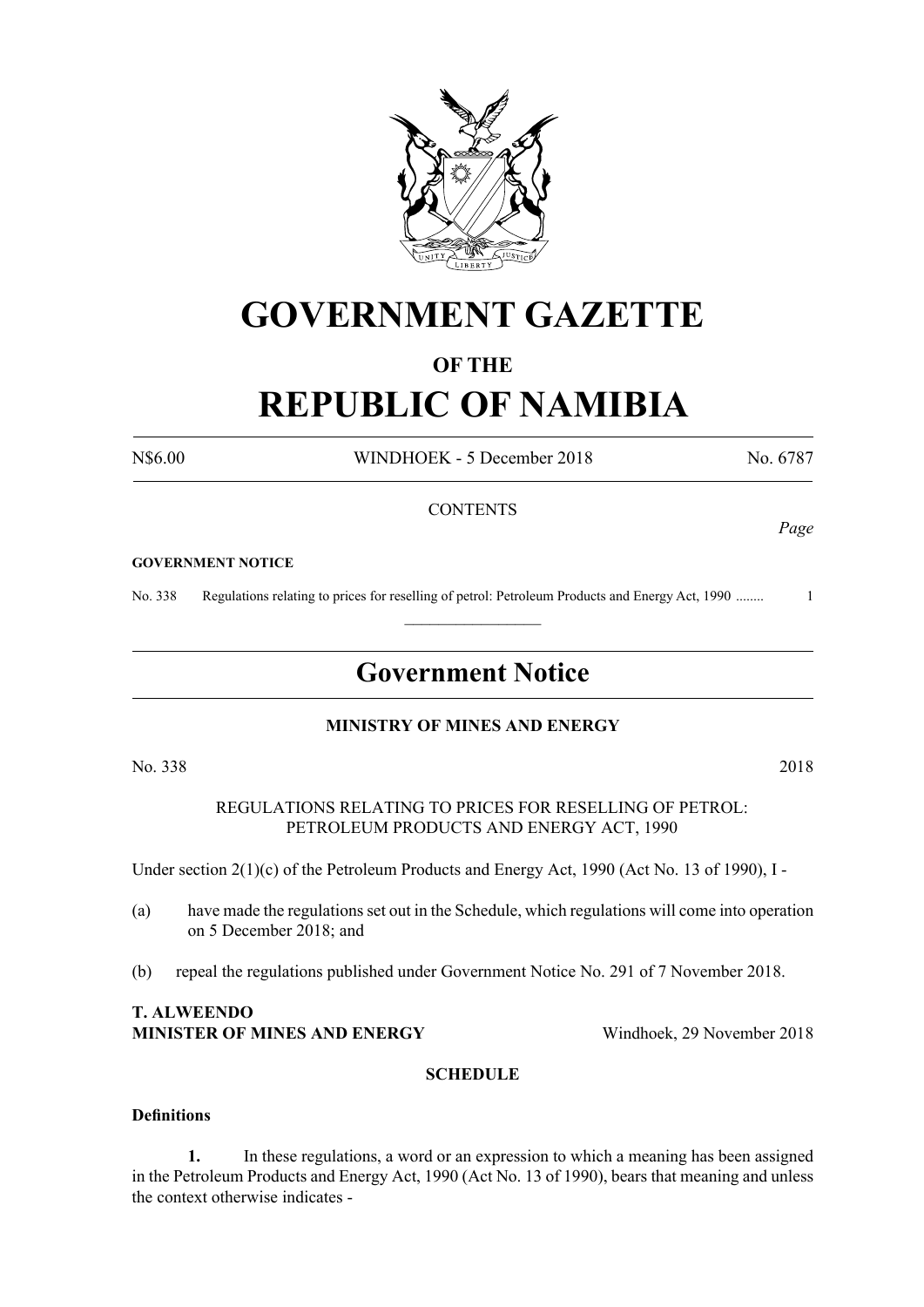

# **GOVERNMENT GAZETTE**

### **OF THE**

# **REPUBLIC OF NAMIBIA**

N\$6.00 WINDHOEK - 5 December 2018 No. 6787

*Page*

#### **CONTENTS**

#### **GOVERNMENT NOTICE**

No. 338 Regulations relating to prices for reselling of petrol: Petroleum Products and Energy Act, 1990 ........ 1

# **Government Notice**

 $\frac{1}{2}$ 

#### **MINISTRY OF MINES AND ENERGY**

No. 338 2018

REGULATIONS RELATING TO PRICES FOR RESELLING OF PETROL: PETROLEUM PRODUCTS AND ENERGY ACT, 1990

Under section 2(1)(c) of the Petroleum Products and Energy Act, 1990 (Act No. 13 of 1990), I -

- (a) have made the regulations set out in the Schedule, which regulations will come into operation on 5 December 2018; and
- (b) repeal the regulations published under Government Notice No. 291 of 7 November 2018.

#### **T. ALWEENDO MINISTER OF MINES AND ENERGY** Windhoek, 29 November 2018

#### **SCHEDULE**

#### **Definitions**

**1.** In these regulations, a word or an expression to which a meaning has been assigned in the Petroleum Products and Energy Act, 1990 (Act No. 13 of 1990), bears that meaning and unless the context otherwise indicates -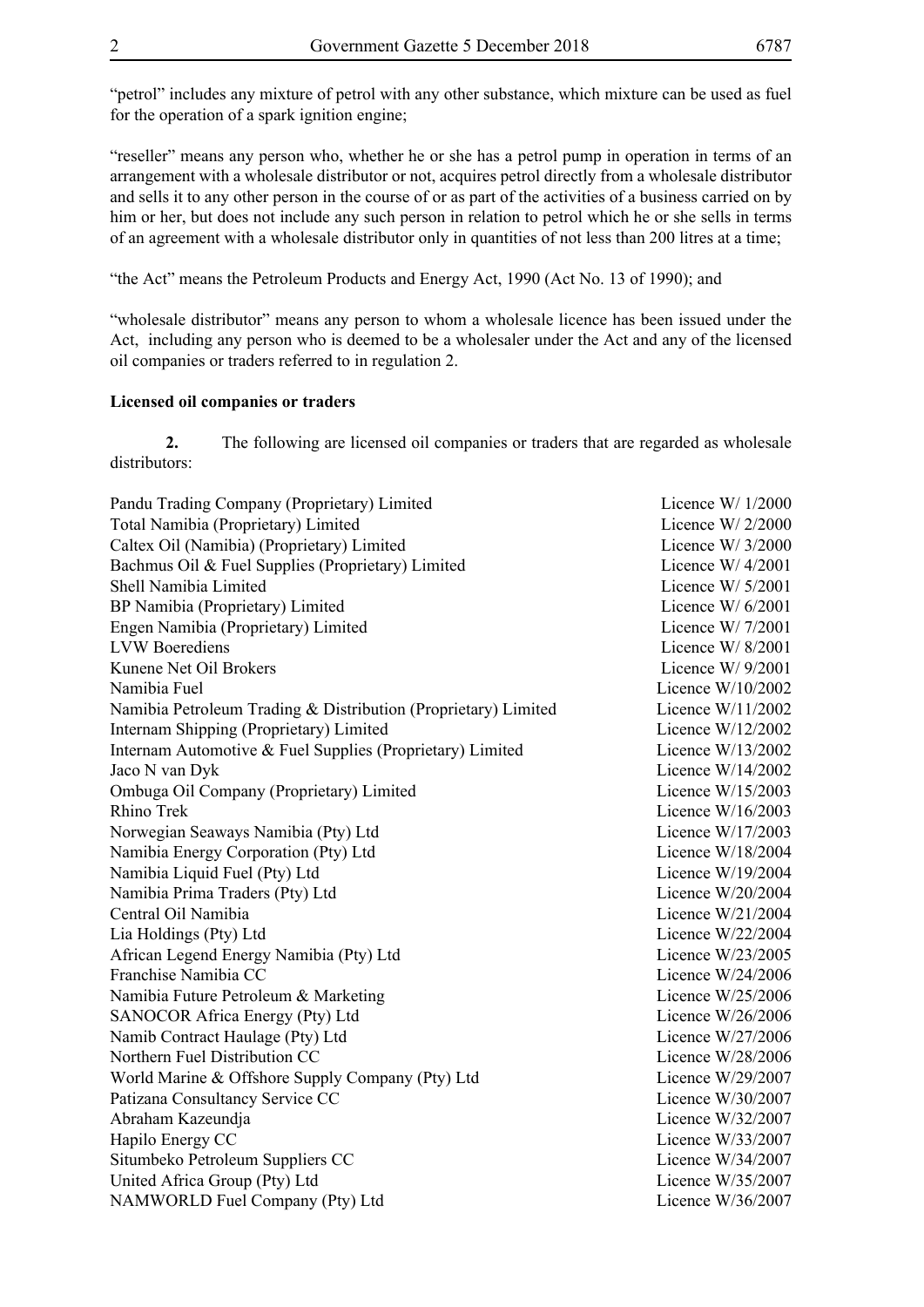"petrol" includes any mixture of petrol with any other substance, which mixture can be used as fuel for the operation of a spark ignition engine;

"reseller" means any person who, whether he or she has a petrol pump in operation in terms of an arrangement with a wholesale distributor or not, acquires petrol directly from a wholesale distributor and sells it to any other person in the course of or as part of the activities of a business carried on by him or her, but does not include any such person in relation to petrol which he or she sells in terms of an agreement with a wholesale distributor only in quantities of not less than 200 litres at a time;

"the Act" means the Petroleum Products and Energy Act, 1990 (Act No. 13 of 1990); and

"wholesale distributor" means any person to whom a wholesale licence has been issued under the Act, including any person who is deemed to be a wholesaler under the Act and any of the licensed oil companies or traders referred to in regulation 2.

#### **Licensed oil companies or traders**

**2.** The following are licensed oil companies or traders that are regarded as wholesale distributors:

| Pandu Trading Company (Proprietary) Limited                    | Licence $W/1/2000$  |
|----------------------------------------------------------------|---------------------|
| Total Namibia (Proprietary) Limited                            | Licence W/ 2/2000   |
| Caltex Oil (Namibia) (Proprietary) Limited                     | Licence $W/3/2000$  |
| Bachmus Oil & Fuel Supplies (Proprietary) Limited              | Licence W/ $4/2001$ |
| Shell Namibia Limited                                          | Licence W/ $5/2001$ |
| BP Namibia (Proprietary) Limited                               | Licence W/6/2001    |
| Engen Namibia (Proprietary) Limited                            | Licence W/ $7/2001$ |
| <b>LVW</b> Boerediens                                          | Licence W/ $8/2001$ |
| Kunene Net Oil Brokers                                         | Licence $W/9/2001$  |
| Namibia Fuel                                                   | Licence $W/10/2002$ |
| Namibia Petroleum Trading & Distribution (Proprietary) Limited | Licence $W/11/2002$ |
| Internam Shipping (Proprietary) Limited                        | Licence W/12/2002   |
| Internam Automotive & Fuel Supplies (Proprietary) Limited      | Licence W/13/2002   |
| Jaco N van Dyk                                                 | Licence $W/14/2002$ |
| Ombuga Oil Company (Proprietary) Limited                       | Licence W/15/2003   |
| Rhino Trek                                                     | Licence W/16/2003   |
| Norwegian Seaways Namibia (Pty) Ltd                            | Licence W/17/2003   |
| Namibia Energy Corporation (Pty) Ltd                           | Licence W/18/2004   |
| Namibia Liquid Fuel (Pty) Ltd                                  | Licence W/19/2004   |
| Namibia Prima Traders (Pty) Ltd                                | Licence $W/20/2004$ |
| Central Oil Namibia                                            | Licence $W/21/2004$ |
| Lia Holdings (Pty) Ltd                                         | Licence W/22/2004   |
| African Legend Energy Namibia (Pty) Ltd                        | Licence W/23/2005   |
| Franchise Namibia CC                                           | Licence W/24/2006   |
| Namibia Future Petroleum & Marketing                           | Licence W/25/2006   |
| SANOCOR Africa Energy (Pty) Ltd                                | Licence $W/26/2006$ |
| Namib Contract Haulage (Pty) Ltd                               | Licence W/27/2006   |
| Northern Fuel Distribution CC                                  | Licence W/28/2006   |
| World Marine & Offshore Supply Company (Pty) Ltd               | Licence W/29/2007   |
| Patizana Consultancy Service CC                                | Licence $W/30/2007$ |
| Abraham Kazeundja                                              | Licence W/32/2007   |
| Hapilo Energy CC                                               | Licence W/33/2007   |
| Situmbeko Petroleum Suppliers CC                               | Licence W/34/2007   |
| United Africa Group (Pty) Ltd                                  | Licence W/35/2007   |
| NAMWORLD Fuel Company (Pty) Ltd                                | Licence W/36/2007   |
|                                                                |                     |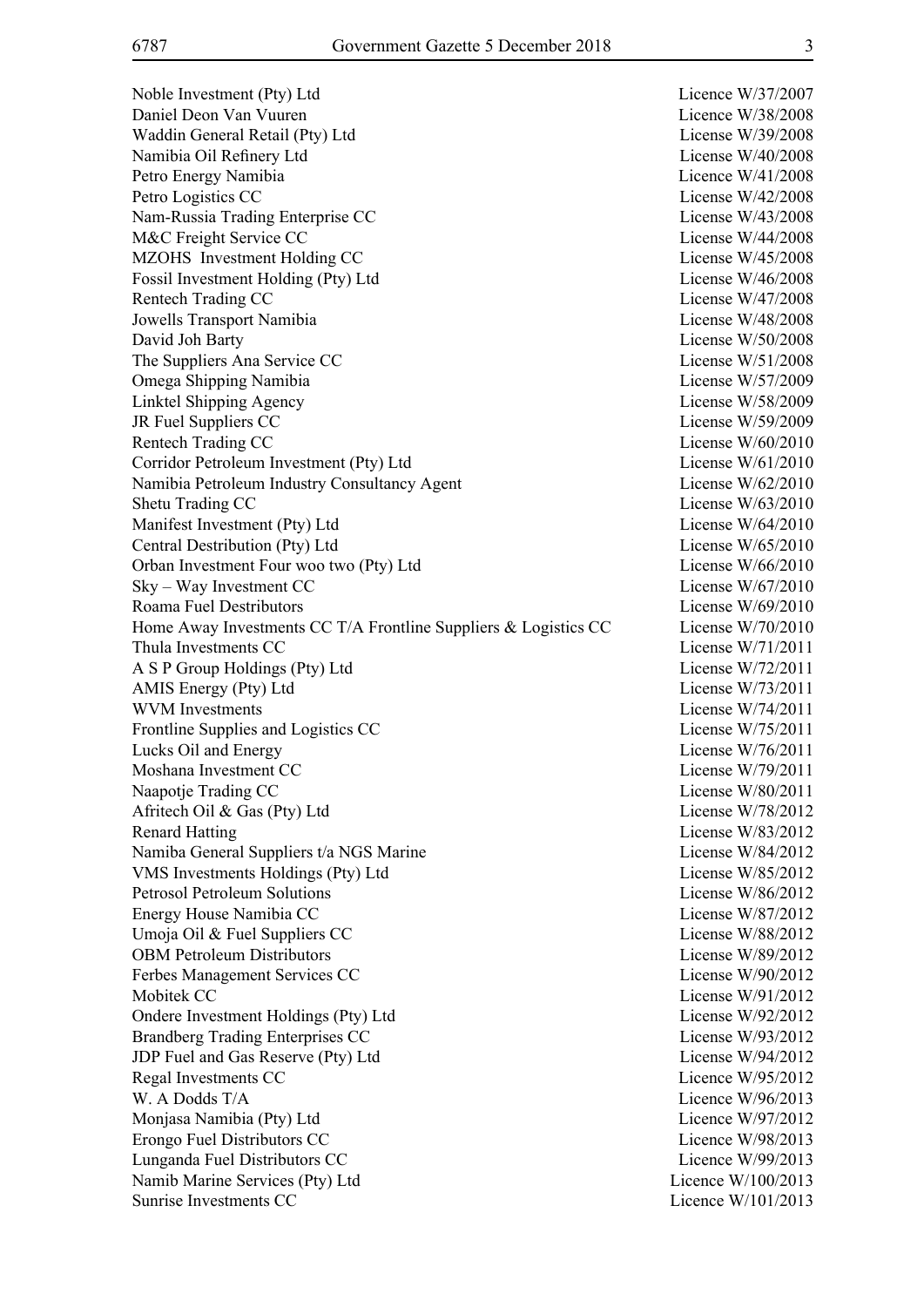Noble Investment (Pty) Ltd Licence W/37/2007 Daniel Deon Van Vuuren Licence W/38/2008 Waddin General Retail (Pty) Ltd License W/39/2008 Namibia Oil Refinery Ltd License W/40/2008 Petro Energy Namibia **Licence W**/41/2008 Petro Logistics CC License W/42/2008 Nam-Russia Trading Enterprise CC License W/43/2008 M&C Freight Service CC and the service of the service of the License W/44/2008 MZOHS Investment Holding CC License W/45/2008 Fossil Investment Holding (Pty) Ltd License W/46/2008 Rentech Trading CC and the Contract of the Contract of the License W/47/2008 Jowells Transport Namibia License W/48/2008 David Joh Barty License W/50/2008 The Suppliers Ana Service CC License W/51/2008 Omega Shipping Namibia License W/57/2009 Linktel Shipping Agency License W/58/2009 JR Fuel Suppliers CC License W/59/2009 Rentech Trading CC License W/60/2010 Corridor Petroleum Investment (Pty) Ltd License W/61/2010 Namibia Petroleum Industry Consultancy Agent License W/62/2010 Shetu Trading CC License W/63/2010 Manifest Investment (Pty) Ltd License W/64/2010 Central Destribution (Pty) Ltd License W/65/2010 Orban Investment Four woo two (Pty) Ltd License W/66/2010 Sky – Way Investment CC License W/67/2010 Roama Fuel Destributors License W/69/2010 Home Away Investments CC T/A Frontline Suppliers & Logistics CC License W/70/2010 Thula Investments CC License W/71/2011 A S P Group Holdings (Pty) Ltd License W/72/2011 AMIS Energy (Pty) Ltd License W/73/2011 WVM Investments License W/74/2011 Frontline Supplies and Logistics CC License W/75/2011 Lucks Oil and Energy License W/76/2011 Moshana Investment CC and the CO and the Company of the Company of the Company of the License W/79/2011 Naapotie Trading CC and the United States of the United States Countries and License W/80/2011 Afritech Oil & Gas (Pty) Ltd License W/78/2012 Renard Hatting License W/83/2012 Namiba General Suppliers t/a NGS Marine License W/84/2012 VMS Investments Holdings (Pty) Ltd License W/85/2012 Petrosol Petroleum Solutions License W/86/2012 Energy House Namibia CC and the Company of the License W/87/2012 Umoja Oil & Fuel Suppliers CC License W/88/2012 OBM Petroleum Distributors License W/89/2012 Ferbes Management Services CC License W/90/2012 Mobitek CC License W/91/2012 Ondere Investment Holdings (Pty) Ltd License W/92/2012 Brandberg Trading Enterprises CC License W/93/2012 JDP Fuel and Gas Reserve (Pty) Ltd License W/94/2012 Regal Investments CC Licence W/95/2012 W. A Dodds T/A Licence W/96/2013 Monjasa Namibia (Pty) Ltd Licence W/97/2012 Erongo Fuel Distributors CC and the contract of the Licence W/98/2013 Lunganda Fuel Distributors CC Licence W/99/2013 Namib Marine Services (Pty) Ltd Licence W/100/2013 Sunrise Investments CC and the CO and the Countries of the Countries of the Licence W/101/2013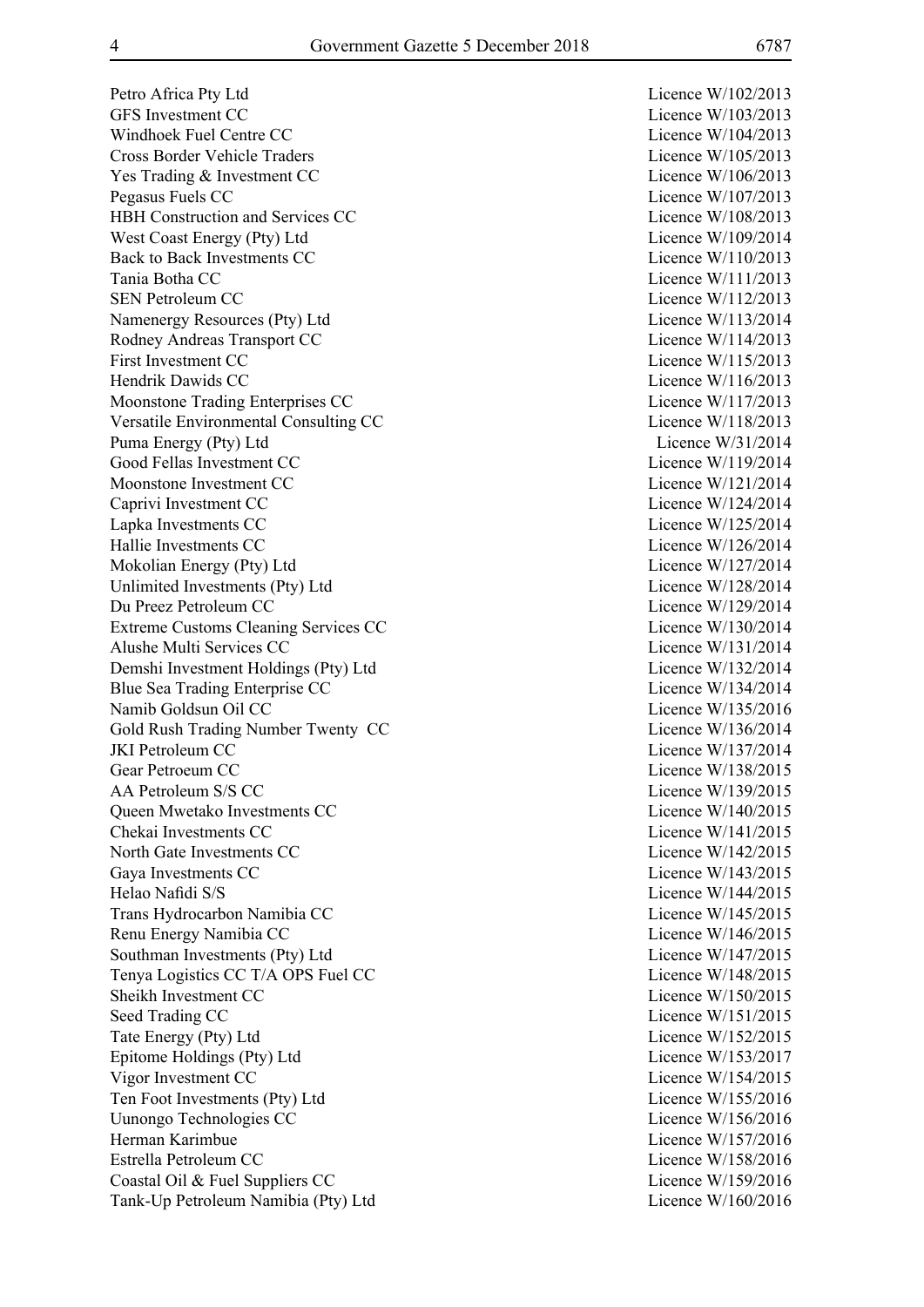Petro Africa Pty Ltd Licence W/102/2013 GFS Investment CC Licence W/103/2013 Windhoek Fuel Centre CC and the Company of the Licence W/104/2013 Cross Border Vehicle Traders Licence W/105/2013 Yes Trading & Investment CC Licence W/106/2013 Pegasus Fuels CC Licence W/107/2013 HBH Construction and Services CC Licence W/108/2013 West Coast Energy (Pty) Ltd Licence W/109/2014 Back to Back Investments CC Licence W/110/2013 Tania Botha CC Licence W/111/2013 SEN Petroleum CC Licence W/112/2013 Namenergy Resources (Pty) Ltd Licence W/113/2014 Rodney Andreas Transport CC Licence W/114/2013 First Investment CC Licence W/115/2013 Hendrik Dawids CC and the United States of the United States and Licence W/116/2013 Moonstone Trading Enterprises CC Licence W/117/2013 Versatile Environmental Consulting CC Licence W/118/2013 Puma Energy (Pty) Ltd Licence W/31/2014 Good Fellas Investment CC Licence W/119/2014 Moonstone Investment CC and CC Licence W/121/2014 Caprivi Investment CC Licence W/124/2014 Lapka Investments CC Licence W/125/2014 Hallie Investments CC Licence W/126/2014 Mokolian Energy (Pty) Ltd Licence W/127/2014 Unlimited Investments (Pty) Ltd Licence W/128/2014 Du Preez Petroleum CC Licence W/129/2014 Extreme Customs Cleaning Services CC Licence W/130/2014 Alushe Multi Services CC and the Contract of the Licence W/131/2014 Demshi Investment Holdings (Pty) Ltd Licence W/132/2014 Blue Sea Trading Enterprise CC and the season of the Licence W/134/2014 Namib Goldsun Oil CC Licence W/135/2016 Gold Rush Trading Number Twenty CC Licence W/136/2014 JKI Petroleum CC Licence W/137/2014 Gear Petroeum CC Licence W/138/2015 AA Petroleum S/S CC Licence W/139/2015 Queen Mwetako Investments CC Licence W/140/2015 Chekai Investments CC and the Company of the Licence W/141/2015 North Gate Investments CC Licence W/142/2015 Gaya Investments CC Licence W/143/2015 Helao Nafidi S/S Licence W/144/2015 Trans Hydrocarbon Namibia CC Licence W/145/2015 Renu Energy Namibia CC Licence W/146/2015 Southman Investments (Pty) Ltd Licence W/147/2015 Tenya Logistics CC T/A OPS Fuel CC Licence W/148/2015 Sheikh Investment CC and the CC Licence W/150/2015 Seed Trading CC Licence W/151/2015 Tate Energy (Pty) Ltd Licence W/152/2015 Epitome Holdings (Pty) Ltd Licence W/153/2017 Vigor Investment CC Licence W/154/2015 Ten Foot Investments (Pty) Ltd Licence W/155/2016 Uunongo Technologies CC Licence W/156/2016 Herman Karimbue Licence W/157/2016 Estrella Petroleum CC and the Company of the Licence W/158/2016 Coastal Oil & Fuel Suppliers CC Licence W/159/2016 Tank-Up Petroleum Namibia (Pty) Ltd Licence W/160/2016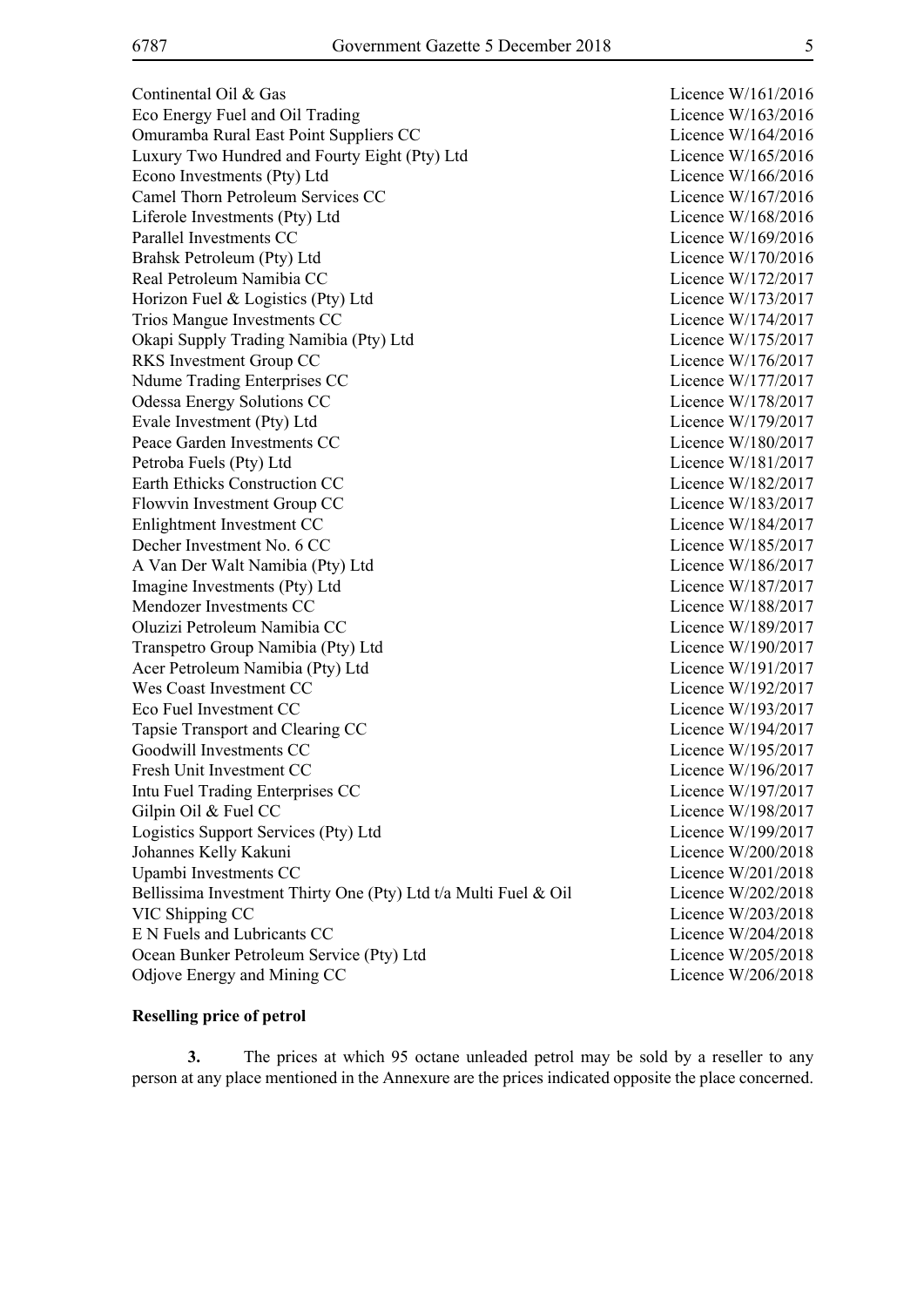Continental Oil & Gas Licence W/161/2016 Eco Energy Fuel and Oil Trading Licence W/163/2016 Omuramba Rural East Point Suppliers CC Licence W/164/2016 Luxury Two Hundred and Fourty Eight (Pty) Ltd Licence W/165/2016 Econo Investments (Pty) Ltd Licence W/166/2016 Camel Thorn Petroleum Services CC Licence W/167/2016 Liferole Investments (Pty) Ltd Licence W/168/2016 Parallel Investments CC Licence W/169/2016 Brahsk Petroleum (Ptv) Ltd Licence W/170/2016 Real Petroleum Namibia CC and the contract of the contract of the Licence W/172/2017 Horizon Fuel & Logistics (Pty) Ltd Licence W/173/2017 Trios Mangue Investments CC Licence W/174/2017 Okapi Supply Trading Namibia (Pty) Ltd Licence W/175/2017 RKS Investment Group CC Licence W/176/2017 Ndume Trading Enterprises CC Licence W/177/2017 Odessa Energy Solutions CC and Contact Contact Contact Contact Contact Contact Contact Contact Contact Contact Contact Contact Contact Contact Contact Contact Contact Contact Contact Contact Contact Contact Contact Contact Evale Investment (Pty) Ltd Licence W/179/2017 Peace Garden Investments CC Licence W/180/2017 Petroba Fuels (Pty) Ltd Licence W/181/2017 Earth Ethicks Construction CC and the Licence W/182/2017 Flowvin Investment Group CC and the Licence W/183/2017 Enlightment Investment CC Licence W/184/2017 Decher Investment No. 6 CC Licence W/185/2017 A Van Der Walt Namibia (Pty) Ltd Licence W/186/2017 Imagine Investments (Pty) Ltd Licence W/187/2017 Mendozer Investments CC and the Company of the Licence W/188/2017 Oluzizi Petroleum Namibia CC Licence W/189/2017 Transpetro Group Namibia (Pty) Ltd Licence W/190/2017 Acer Petroleum Namibia (Pty) Ltd Licence W/191/2017 Wes Coast Investment CC Licence W/192/2017 Eco Fuel Investment CC Licence W/193/2017 Tapsie Transport and Clearing CC Licence W/194/2017 Goodwill Investments CC and the CO Licence W/195/2017 Fresh Unit Investment CC Licence W/196/2017 Intu Fuel Trading Enterprises CC and the Contract Contract Contract Contract Contract Contract Contract Contract Contract Contract Contract Contract Contract Contract Contract Contract Contract Contract Contract Contract C Gilpin Oil & Fuel CC Licence W/198/2017 Logistics Support Services (Pty) Ltd Licence W/199/2017 Johannes Kelly Kakuni Licence W/200/2018 Upambi Investments CC Licence W/201/2018 Bellissima Investment Thirty One (Pty) Ltd t/a Multi Fuel & Oil Licence W/202/2018 VIC Shipping CC Licence W/203/2018 E N Fuels and Lubricants CC Licence W/204/2018 Ocean Bunker Petroleum Service (Pty) Ltd Licence W/205/2018 Odjove Energy and Mining CC Licence W/206/2018

#### **Reselling price of petrol**

**3.** The prices at which 95 octane unleaded petrol may be sold by a reseller to any person at any place mentioned in the Annexure are the prices indicated opposite the place concerned.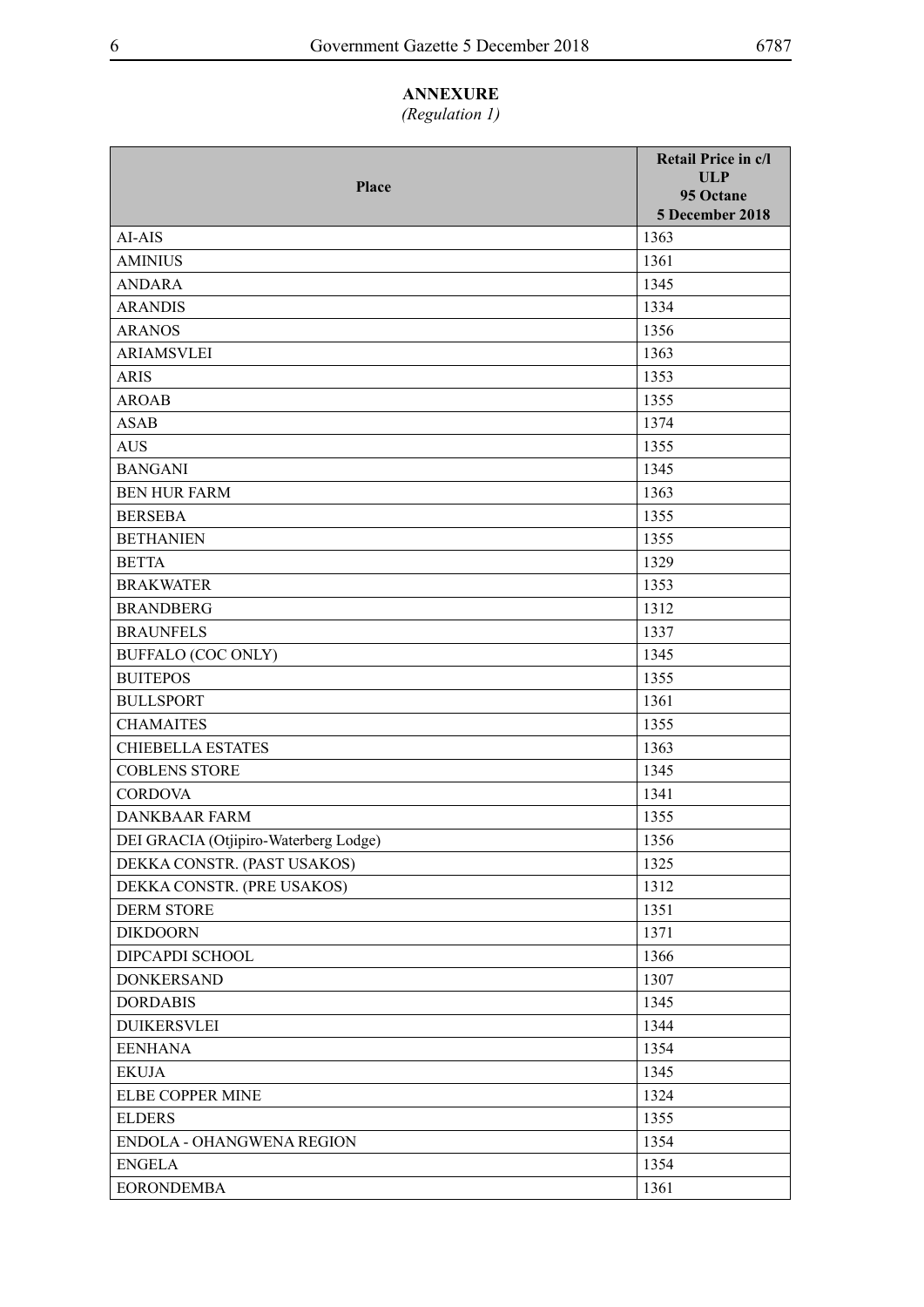### **ANNEXURE**

## *(Regulation 1)*

| Place                                 | Retail Price in c/l<br>ULP<br>95 Octane<br>5 December 2018 |
|---------------------------------------|------------------------------------------------------------|
| AI-AIS                                | 1363                                                       |
| <b>AMINIUS</b>                        | 1361                                                       |
| <b>ANDARA</b>                         | 1345                                                       |
| <b>ARANDIS</b>                        | 1334                                                       |
| <b>ARANOS</b>                         | 1356                                                       |
| <b>ARIAMSVLEI</b>                     | 1363                                                       |
| <b>ARIS</b>                           | 1353                                                       |
| <b>AROAB</b>                          | 1355                                                       |
| <b>ASAB</b>                           | 1374                                                       |
| <b>AUS</b>                            | 1355                                                       |
| <b>BANGANI</b>                        | 1345                                                       |
| <b>BEN HUR FARM</b>                   | 1363                                                       |
| <b>BERSEBA</b>                        | 1355                                                       |
| <b>BETHANIEN</b>                      | 1355                                                       |
| <b>BETTA</b>                          | 1329                                                       |
| <b>BRAKWATER</b>                      | 1353                                                       |
| <b>BRANDBERG</b>                      | 1312                                                       |
| <b>BRAUNFELS</b>                      | 1337                                                       |
| BUFFALO (COC ONLY)                    | 1345                                                       |
| <b>BUITEPOS</b>                       | 1355                                                       |
| <b>BULLSPORT</b>                      | 1361                                                       |
| <b>CHAMAITES</b>                      | 1355                                                       |
| <b>CHIEBELLA ESTATES</b>              | 1363                                                       |
| <b>COBLENS STORE</b>                  | 1345                                                       |
| <b>CORDOVA</b>                        | 1341                                                       |
| <b>DANKBAAR FARM</b>                  | 1355                                                       |
| DEI GRACIA (Otjipiro-Waterberg Lodge) | 1356                                                       |
| DEKKA CONSTR. (PAST USAKOS)           | 1325                                                       |
| DEKKA CONSTR. (PRE USAKOS)            | 1312                                                       |
| <b>DERM STORE</b>                     | 1351                                                       |
| <b>DIKDOORN</b>                       | 1371                                                       |
| DIPCAPDI SCHOOL                       | 1366                                                       |
| <b>DONKERSAND</b>                     | 1307                                                       |
| <b>DORDABIS</b>                       | 1345                                                       |
| <b>DUIKERSVLEI</b>                    | 1344                                                       |
| <b>EENHANA</b>                        | 1354                                                       |
| <b>EKUJA</b>                          | 1345                                                       |
| ELBE COPPER MINE                      | 1324                                                       |
| <b>ELDERS</b>                         | 1355                                                       |
| ENDOLA - OHANGWENA REGION             | 1354                                                       |
| <b>ENGELA</b>                         | 1354                                                       |
| <b>EORONDEMBA</b>                     | 1361                                                       |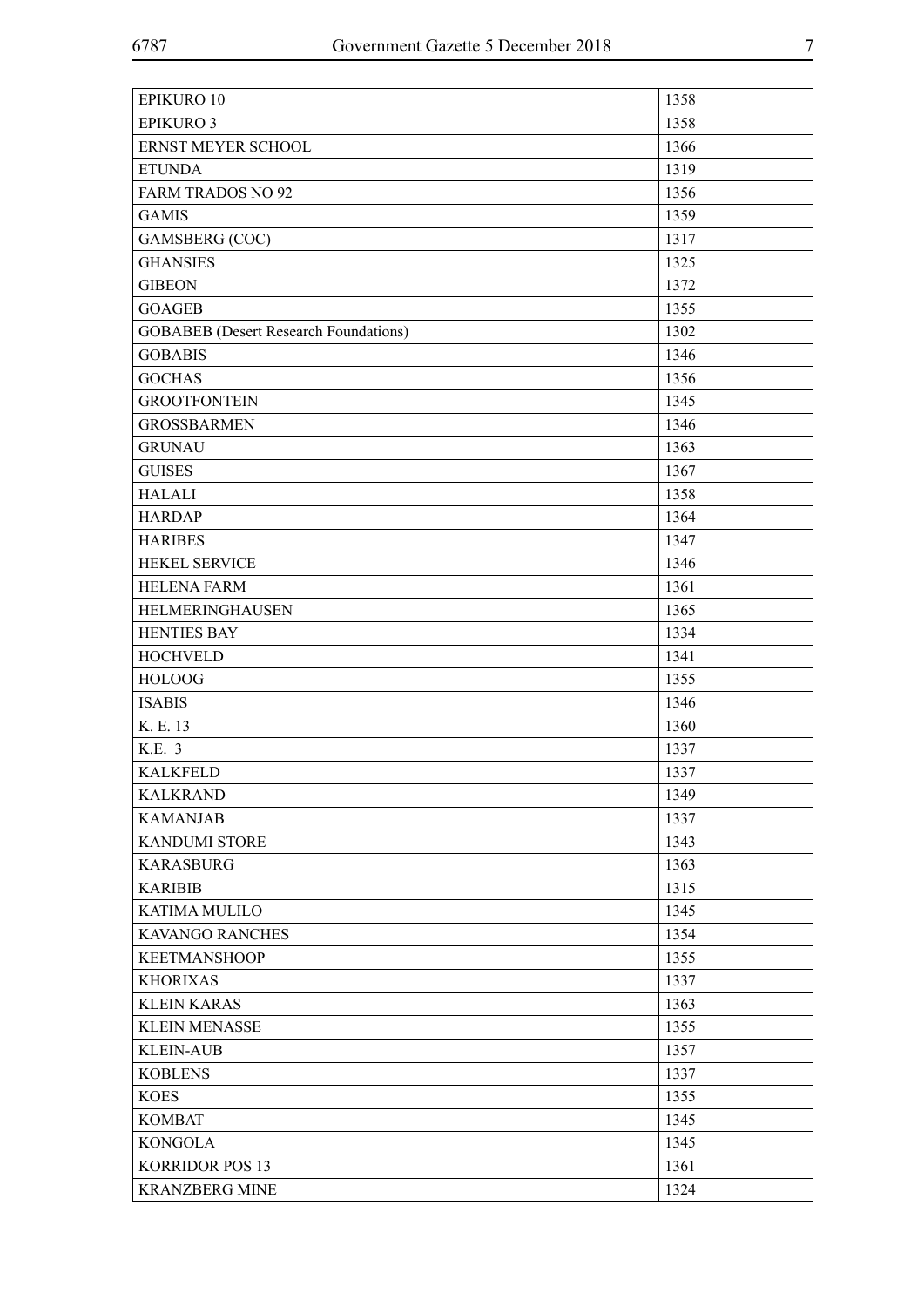| <b>EPIKURO 10</b>                            | 1358 |
|----------------------------------------------|------|
| <b>EPIKURO 3</b>                             | 1358 |
| ERNST MEYER SCHOOL                           | 1366 |
| <b>ETUNDA</b>                                | 1319 |
| <b>FARM TRADOS NO 92</b>                     | 1356 |
| <b>GAMIS</b>                                 | 1359 |
| <b>GAMSBERG</b> (COC)                        | 1317 |
| <b>GHANSIES</b>                              | 1325 |
| <b>GIBEON</b>                                | 1372 |
| <b>GOAGEB</b>                                | 1355 |
| <b>GOBABEB</b> (Desert Research Foundations) | 1302 |
| <b>GOBABIS</b>                               | 1346 |
| <b>GOCHAS</b>                                | 1356 |
| <b>GROOTFONTEIN</b>                          | 1345 |
| <b>GROSSBARMEN</b>                           | 1346 |
| <b>GRUNAU</b>                                | 1363 |
| <b>GUISES</b>                                | 1367 |
| <b>HALALI</b>                                | 1358 |
| <b>HARDAP</b>                                | 1364 |
| <b>HARIBES</b>                               | 1347 |
| HEKEL SERVICE                                | 1346 |
| <b>HELENA FARM</b>                           | 1361 |
| HELMERINGHAUSEN                              | 1365 |
| <b>HENTIES BAY</b>                           | 1334 |
| <b>HOCHVELD</b>                              | 1341 |
| <b>HOLOOG</b>                                | 1355 |
| <b>ISABIS</b>                                | 1346 |
| K. E. 13                                     | 1360 |
| K.E. 3                                       | 1337 |
| <b>KALKFELD</b>                              | 1337 |
| <b>KALKRAND</b>                              | 1349 |
| <b>KAMANJAB</b>                              | 1337 |
| <b>KANDUMI STORE</b>                         | 1343 |
| <b>KARASBURG</b>                             | 1363 |
| <b>KARIBIB</b>                               | 1315 |
| <b>KATIMA MULILO</b>                         | 1345 |
| <b>KAVANGO RANCHES</b>                       | 1354 |
| <b>KEETMANSHOOP</b>                          | 1355 |
| <b>KHORIXAS</b>                              | 1337 |
| <b>KLEIN KARAS</b>                           | 1363 |
| <b>KLEIN MENASSE</b>                         | 1355 |
| <b>KLEIN-AUB</b>                             | 1357 |
|                                              |      |
| <b>KOBLENS</b>                               | 1337 |
| <b>KOES</b>                                  | 1355 |
| <b>KOMBAT</b>                                | 1345 |
| <b>KONGOLA</b>                               | 1345 |
| <b>KORRIDOR POS 13</b>                       | 1361 |
| <b>KRANZBERG MINE</b>                        | 1324 |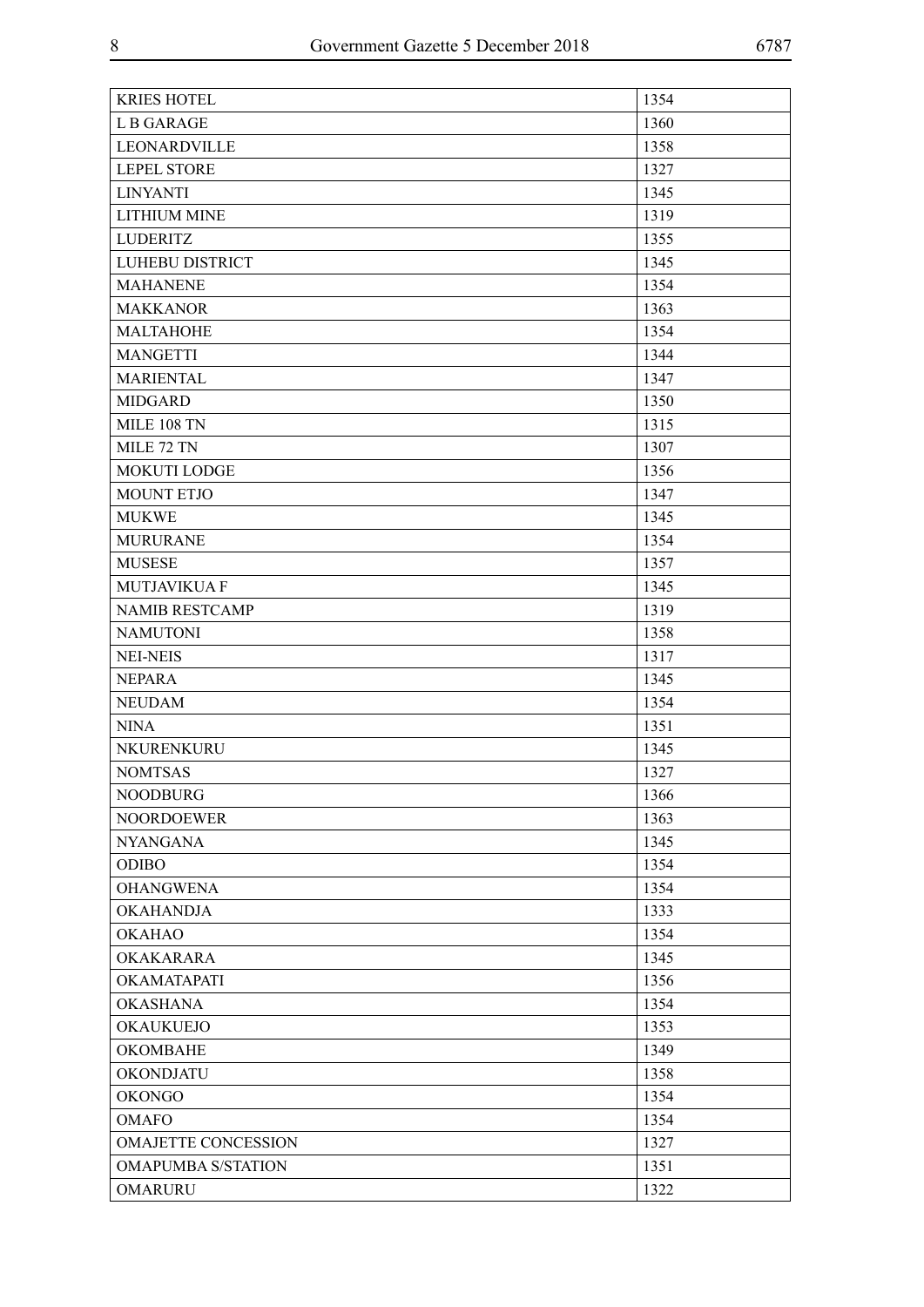| <b>KRIES HOTEL</b>         | 1354 |
|----------------------------|------|
| L B GARAGE                 | 1360 |
| LEONARDVILLE               | 1358 |
| <b>LEPEL STORE</b>         | 1327 |
| <b>LINYANTI</b>            | 1345 |
| <b>LITHIUM MINE</b>        | 1319 |
| <b>LUDERITZ</b>            | 1355 |
| LUHEBU DISTRICT            | 1345 |
| <b>MAHANENE</b>            | 1354 |
| <b>MAKKANOR</b>            | 1363 |
| <b>MALTAHOHE</b>           | 1354 |
| <b>MANGETTI</b>            | 1344 |
| <b>MARIENTAL</b>           | 1347 |
| <b>MIDGARD</b>             | 1350 |
| <b>MILE 108 TN</b>         | 1315 |
| MILE 72 TN                 | 1307 |
| <b>MOKUTI LODGE</b>        | 1356 |
| MOUNT ETJO                 | 1347 |
| <b>MUKWE</b>               | 1345 |
| <b>MURURANE</b>            | 1354 |
| <b>MUSESE</b>              | 1357 |
| <b>MUTJAVIKUA F</b>        | 1345 |
| <b>NAMIB RESTCAMP</b>      | 1319 |
| <b>NAMUTONI</b>            | 1358 |
| <b>NEI-NEIS</b>            | 1317 |
| <b>NEPARA</b>              | 1345 |
| <b>NEUDAM</b>              | 1354 |
| <b>NINA</b>                | 1351 |
| NKURENKURU                 | 1345 |
| <b>NOMTSAS</b>             | 1327 |
| <b>NOODBURG</b>            | 1366 |
| <b>NOORDOEWER</b>          | 1363 |
| <b>NYANGANA</b>            | 1345 |
| <b>ODIBO</b>               | 1354 |
| <b>OHANGWENA</b>           | 1354 |
| <b>OKAHANDJA</b>           | 1333 |
| <b>OKAHAO</b>              | 1354 |
| <b>OKAKARARA</b>           | 1345 |
| <b>OKAMATAPATI</b>         | 1356 |
| <b>OKASHANA</b>            | 1354 |
| <b>OKAUKUEJO</b>           | 1353 |
| <b>OKOMBAHE</b>            | 1349 |
| <b>OKONDJATU</b>           | 1358 |
| <b>OKONGO</b>              | 1354 |
| <b>OMAFO</b>               | 1354 |
| <b>OMAJETTE CONCESSION</b> | 1327 |
| <b>OMAPUMBA S/STATION</b>  | 1351 |
| <b>OMARURU</b>             | 1322 |
|                            |      |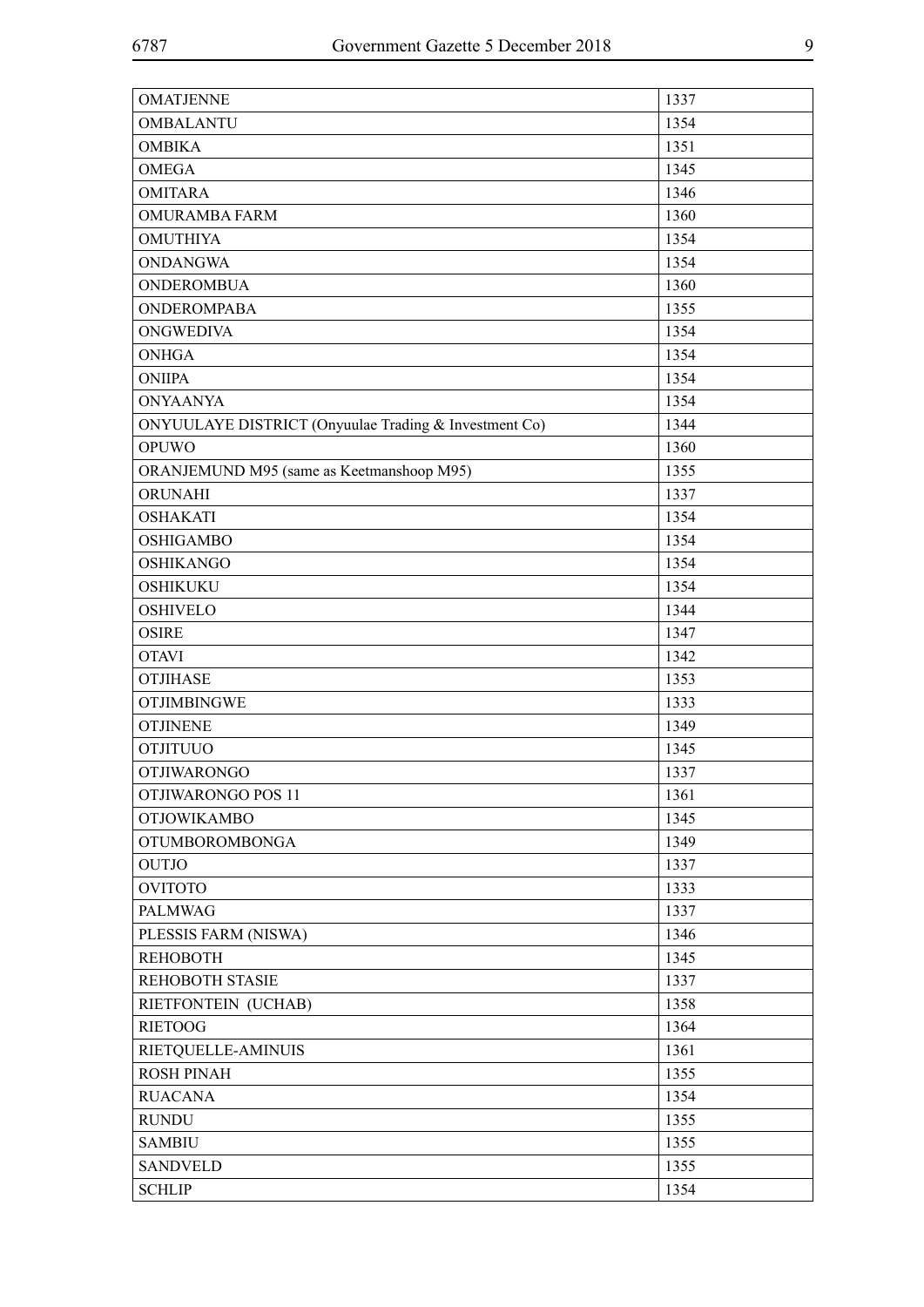| <b>OMATJENNE</b>                                      | 1337 |
|-------------------------------------------------------|------|
| <b>OMBALANTU</b>                                      | 1354 |
| <b>OMBIKA</b>                                         | 1351 |
| <b>OMEGA</b>                                          | 1345 |
| <b>OMITARA</b>                                        | 1346 |
| OMURAMBA FARM                                         | 1360 |
| <b>OMUTHIYA</b>                                       | 1354 |
| <b>ONDANGWA</b>                                       | 1354 |
| <b>ONDEROMBUA</b>                                     | 1360 |
| <b>ONDEROMPABA</b>                                    | 1355 |
| <b>ONGWEDIVA</b>                                      | 1354 |
| <b>ONHGA</b>                                          | 1354 |
| <b>ONIIPA</b>                                         | 1354 |
| <b>ONYAANYA</b>                                       | 1354 |
| ONYUULAYE DISTRICT (Onyuulae Trading & Investment Co) | 1344 |
| <b>OPUWO</b>                                          | 1360 |
| ORANJEMUND M95 (same as Keetmanshoop M95)             | 1355 |
| ORUNAHI                                               | 1337 |
| <b>OSHAKATI</b>                                       | 1354 |
| <b>OSHIGAMBO</b>                                      | 1354 |
| <b>OSHIKANGO</b>                                      | 1354 |
| <b>OSHIKUKU</b>                                       | 1354 |
| <b>OSHIVELO</b>                                       | 1344 |
| <b>OSIRE</b>                                          | 1347 |
| <b>OTAVI</b>                                          | 1342 |
| <b>OTJIHASE</b>                                       | 1353 |
| <b>OTJIMBINGWE</b>                                    | 1333 |
| <b>OTJINENE</b>                                       | 1349 |
| <b>OTJITUUO</b>                                       | 1345 |
| <b>OTJIWARONGO</b>                                    | 1337 |
| OTJIWARONGO POS 11                                    | 1361 |
| <b>OTJOWIKAMBO</b>                                    | 1345 |
| <b>OTUMBOROMBONGA</b>                                 | 1349 |
| <b>OUTJO</b>                                          | 1337 |
| <b>OVITOTO</b>                                        | 1333 |
| <b>PALMWAG</b>                                        | 1337 |
| PLESSIS FARM (NISWA)                                  | 1346 |
| <b>REHOBOTH</b>                                       | 1345 |
| REHOBOTH STASIE                                       | 1337 |
| RIETFONTEIN (UCHAB)                                   | 1358 |
| <b>RIETOOG</b>                                        | 1364 |
| RIETQUELLE-AMINUIS                                    | 1361 |
| <b>ROSH PINAH</b>                                     | 1355 |
| <b>RUACANA</b>                                        | 1354 |
| <b>RUNDU</b>                                          | 1355 |
| <b>SAMBIU</b>                                         | 1355 |
| <b>SANDVELD</b>                                       | 1355 |
| <b>SCHLIP</b>                                         | 1354 |
|                                                       |      |